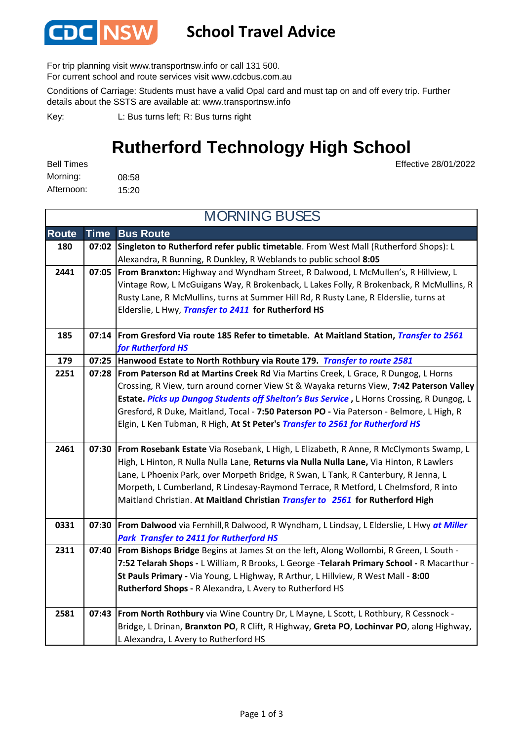

## **School Travel Advice**

For trip planning visit www.transportnsw.info or call 131 500.

For current school and route services visit www.cdcbus.com.au

Conditions of Carriage: Students must have a valid Opal card and must tap on and off every trip. Further details about the SSTS are available at: www.transportnsw.info

L: Bus turns left; R: Bus turns right Key:

## **Rutherford Technology High School**

Effective 28/01/2022

08:58 15:20 Afternoon: Bell Times Morning:

**Route Time Bus Route 180 07:02 Singleton to Rutherford refer public timetable**. From West Mall (Rutherford Shops): L Alexandra, R Bunning, R Dunkley, R Weblands to public school **8:05 2441 07:05 From Branxton:** Highway and Wyndham Street, R Dalwood, L McMullen's, R Hillview, L Vintage Row, L McGuigans Way, R Brokenback, L Lakes Folly, R Brokenback, R McMullins, R Rusty Lane, R McMullins, turns at Summer Hill Rd, R Rusty Lane, R Elderslie, turns at Elderslie, L Hwy, *Transfer to 2411* **for Rutherford HS 185 07:14 From Gresford Via route 185 Refer to timetable. At Maitland Station,** *Transfer to 2561 for Rutherford HS* **179 07:25 Hanwood Estate to North Rothbury via Route 179.** *Transfer to route 2581* **2251 07:28 From Paterson Rd at Martins Creek Rd** Via Martins Creek, L Grace, R Dungog, L Horns Crossing, R View, turn around corner View St & Wayaka returns View, **7:42 Paterson Valley Estate.** *Picks up Dungog Students off Shelton's Bus Service* **,** L Horns Crossing, R Dungog, L Gresford, R Duke, Maitland, Tocal - **7:50 Paterson PO -** Via Paterson - Belmore, L High, R Elgin, L Ken Tubman, R High, **At St Peter's** *Transfer to 2561 for Rutherford HS* **2461 07:30 From Rosebank Estate** Via Rosebank, L High, L Elizabeth, R Anne, R McClymonts Swamp, L High, L Hinton, R Nulla Nulla Lane, **Returns via Nulla Nulla Lane,** Via Hinton, R Lawlers Lane, L Phoenix Park, over Morpeth Bridge, R Swan, L Tank, R Canterbury, R Jenna, L Morpeth, L Cumberland, R Lindesay-Raymond Terrace, R Metford, L Chelmsford, R into Maitland Christian. **At Maitland Christian** *Transfer to 2561* **for Rutherford High 0331 07:30 From Dalwood** via Fernhill,R Dalwood, R Wyndham, L Lindsay, L Elderslie, L Hwy *at Miller Park Transfer to 2411 for Rutherford HS* **2311 07:40 From Bishops Bridge** Begins at James St on the left, Along Wollombi, R Green, L South - **7:52 Telarah Shops -** L William, R Brooks, L George -**Telarah Primary School -** R Macarthur - **St Pauls Primary -** Via Young, L Highway, R Arthur, L Hillview, R West Mall - **8:00 Rutherford Shops -** R Alexandra, L Avery to Rutherford HS **2581 07:43 From North Rothbury** via Wine Country Dr, L Mayne, L Scott, L Rothbury, R Cessnock - Bridge, L Drinan, **Branxton PO**, R Clift, R Highway, **Greta PO**, **Lochinvar PO**, along Highway, L Alexandra, L Avery to Rutherford HS MORNING BUSES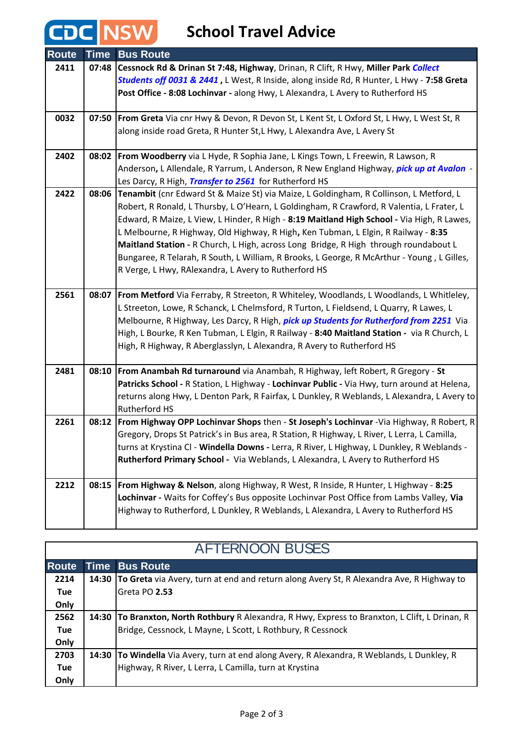## **CDC** NSW School Travel Advice

| <b>Route</b> | <b>Time</b> | <b>Bus Route</b>                                                                                                                                   |
|--------------|-------------|----------------------------------------------------------------------------------------------------------------------------------------------------|
| 2411         | 07:48       | Cessnock Rd & Drinan St 7:48, Highway, Drinan, R Clift, R Hwy, Miller Park Collect                                                                 |
|              |             | Students off 0031 & 2441, L West, R Inside, along inside Rd, R Hunter, L Hwy - 7:58 Greta                                                          |
|              |             | Post Office - 8:08 Lochinvar - along Hwy, L Alexandra, L Avery to Rutherford HS                                                                    |
|              |             |                                                                                                                                                    |
| 0032         |             | 07:50   From Greta Via cnr Hwy & Devon, R Devon St, L Kent St, L Oxford St, L Hwy, L West St, R                                                    |
|              |             | along inside road Greta, R Hunter St, L Hwy, L Alexandra Ave, L Avery St                                                                           |
|              |             |                                                                                                                                                    |
| 2402         |             | 08:02   From Woodberry via L Hyde, R Sophia Jane, L Kings Town, L Freewin, R Lawson, R                                                             |
|              |             | Anderson, L Allendale, R Yarrum, L Anderson, R New England Highway, <i>pick up at Avalon</i> -                                                     |
|              |             | Les Darcy, R High, Transfer to 2561 for Rutherford HS                                                                                              |
| 2422         | 08:06       | Tenambit (cnr Edward St & Maize St) via Maize, L Goldingham, R Collinson, L Metford, L                                                             |
|              |             | Robert, R Ronald, L Thursby, L O'Hearn, L Goldingham, R Crawford, R Valentia, L Frater, L                                                          |
|              |             | Edward, R Maize, L View, L Hinder, R High - 8:19 Maitland High School - Via High, R Lawes,                                                         |
|              |             | L Melbourne, R Highway, Old Highway, R High, Ken Tubman, L Elgin, R Railway - 8:35                                                                 |
|              |             | Maitland Station - R Church, L High, across Long Bridge, R High through roundabout L                                                               |
|              |             | Bungaree, R Telarah, R South, L William, R Brooks, L George, R McArthur - Young, L Gilles,<br>R Verge, L Hwy, RAlexandra, L Avery to Rutherford HS |
|              |             |                                                                                                                                                    |
| 2561         | 08:07       | From Metford Via Ferraby, R Streeton, R Whiteley, Woodlands, L Woodlands, L Whitleley,                                                             |
|              |             | L Streeton, Lowe, R Schanck, L Chelmsford, R Turton, L Fieldsend, L Quarry, R Lawes, L                                                             |
|              |             | Melbourne, R Highway, Les Darcy, R High, <i>pick up Students for Rutherford from 2251</i> Via                                                      |
|              |             | High, L Bourke, R Ken Tubman, L Elgin, R Railway - 8:40 Maitland Station - via R Church, L                                                         |
|              |             | High, R Highway, R Aberglasslyn, L Alexandra, R Avery to Rutherford HS                                                                             |
|              |             |                                                                                                                                                    |
| 2481         | 08:10       | From Anambah Rd turnaround via Anambah, R Highway, left Robert, R Gregory - St                                                                     |
|              |             | Patricks School - R Station, L Highway - Lochinvar Public - Via Hwy, turn around at Helena,                                                        |
|              |             | returns along Hwy, L Denton Park, R Fairfax, L Dunkley, R Weblands, L Alexandra, L Avery to                                                        |
|              |             | <b>Rutherford HS</b>                                                                                                                               |
| 2261         | 08:12       | From Highway OPP Lochinvar Shops then - St Joseph's Lochinvar -Via Highway, R Robert, R                                                            |
|              |             | Gregory, Drops St Patrick's in Bus area, R Station, R Highway, L River, L Lerra, L Camilla,                                                        |
|              |             | turns at Krystina Cl - Windella Downs - Lerra, R River, L Highway, L Dunkley, R Weblands -                                                         |
|              |             | Rutherford Primary School - Via Weblands, L Alexandra, L Avery to Rutherford HS                                                                    |
| 2212         | 08:15       | From Highway & Nelson, along Highway, R West, R Inside, R Hunter, L Highway - 8:25                                                                 |
|              |             | Lochinvar - Waits for Coffey's Bus opposite Lochinvar Post Office from Lambs Valley, Via                                                           |
|              |             | Highway to Rutherford, L Dunkley, R Weblands, L Alexandra, L Avery to Rutherford HS                                                                |
|              |             |                                                                                                                                                    |

| <b>AFTERNOON BUSES</b> |       |                                                                                                 |  |  |
|------------------------|-------|-------------------------------------------------------------------------------------------------|--|--|
| <b>Route</b>           |       | <b>Time Bus Route</b>                                                                           |  |  |
| 2214                   | 14:30 | <b>To Greta</b> via Avery, turn at end and return along Avery St, R Alexandra Ave, R Highway to |  |  |
| <b>Tue</b>             |       | Greta PO 2.53                                                                                   |  |  |
| Only                   |       |                                                                                                 |  |  |
| 2562                   |       | 14:30 To Branxton, North Rothbury R Alexandra, R Hwy, Express to Branxton, L Clift, L Drinan, R |  |  |
| <b>Tue</b>             |       | Bridge, Cessnock, L Mayne, L Scott, L Rothbury, R Cessnock                                      |  |  |
| Only                   |       |                                                                                                 |  |  |
| 2703                   | 14:30 | <b>To Windella</b> Via Avery, turn at end along Avery, R Alexandra, R Weblands, L Dunkley, R    |  |  |
| <b>Tue</b>             |       | Highway, R River, L Lerra, L Camilla, turn at Krystina                                          |  |  |
| Only                   |       |                                                                                                 |  |  |